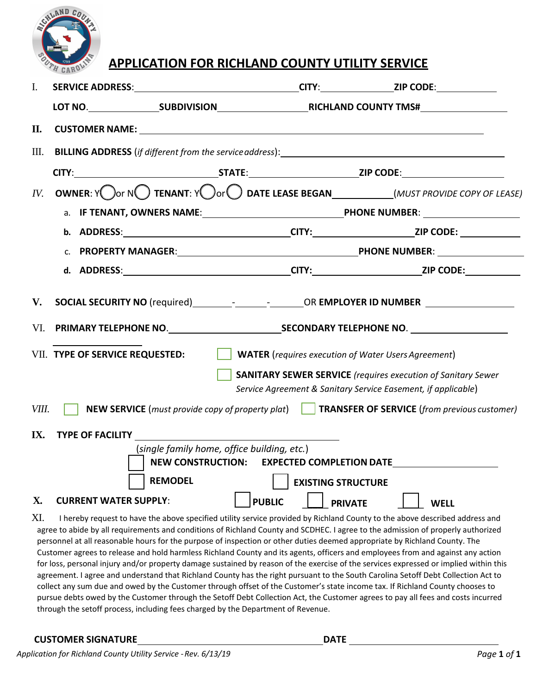

## **APPLICATION FOR RICHLAND COUNTY UTILITY SERVICE**

| $\mathbf{I}$ . | SERVICE ADDRESS:__________________________________CITY:________________ZIP CODE:___________________                                                                                                                                                                         |                                    |                                                                                                     |  |  |  |  |  |
|----------------|-----------------------------------------------------------------------------------------------------------------------------------------------------------------------------------------------------------------------------------------------------------------------------|------------------------------------|-----------------------------------------------------------------------------------------------------|--|--|--|--|--|
|                |                                                                                                                                                                                                                                                                             |                                    |                                                                                                     |  |  |  |  |  |
| П.             | CUSTOMER NAME: University of the contract of the contract of the contract of the contract of the contract of the contract of the contract of the contract of the contract of the contract of the contract of the contract of t                                              |                                    |                                                                                                     |  |  |  |  |  |
| Ш.             | <b>BILLING ADDRESS</b> (if different from the service address): <u>Andrean Adventure and the service</u> and the service and the service and the service and the service and the service and the service and the service and the service                                    |                                    |                                                                                                     |  |  |  |  |  |
|                |                                                                                                                                                                                                                                                                             |                                    |                                                                                                     |  |  |  |  |  |
| IV.            |                                                                                                                                                                                                                                                                             |                                    |                                                                                                     |  |  |  |  |  |
|                |                                                                                                                                                                                                                                                                             |                                    |                                                                                                     |  |  |  |  |  |
|                |                                                                                                                                                                                                                                                                             |                                    |                                                                                                     |  |  |  |  |  |
|                |                                                                                                                                                                                                                                                                             | C. PROPERTY MANAGER: PHONE NUMBER: |                                                                                                     |  |  |  |  |  |
|                |                                                                                                                                                                                                                                                                             |                                    | d. ADDRESS:__________________________________CITY:_______________________ZIP CODE:_________________ |  |  |  |  |  |
| V.             | SOCIAL SECURITY NO (required)___________________________OR EMPLOYER ID NUMBER _____________________<br>VII. TYPE OF SERVICE REQUESTED:<br><b>WATER</b> (requires execution of Water Users Agreement)<br><b>SANITARY SEWER SERVICE</b> (requires execution of Sanitary Sewer |                                    |                                                                                                     |  |  |  |  |  |
|                | Service Agreement & Sanitary Service Easement, if applicable)                                                                                                                                                                                                               |                                    |                                                                                                     |  |  |  |  |  |
| VIII.          | NEW SERVICE (must provide copy of property plat) TRANSFER OF SERVICE (from previous customer)                                                                                                                                                                               |                                    |                                                                                                     |  |  |  |  |  |
| IX.            | TYPE OF FACILITY<br>(single family home, office building, etc.)<br>NEW CONSTRUCTION: EXPECTED COMPLETION DATE<br><b>REMODEL</b><br>  EXISTING STRUCTURE                                                                                                                     |                                    |                                                                                                     |  |  |  |  |  |
| <b>X</b> .     | <b>CURRENT WATER SUPPLY:</b>                                                                                                                                                                                                                                                | <b>PUBLIC</b><br><b>PRIVATE</b>    | <b>WELL</b>                                                                                         |  |  |  |  |  |
| XI.            | I hereby request to have the above specified utility service provided by Richland County to the above described address and                                                                                                                                                 |                                    |                                                                                                     |  |  |  |  |  |

agree to abide by all requirements and conditions of Richland County and SCDHEC. I agree to the admission of properly authorized personnel at all reasonable hours for the purpose of inspection or other duties deemed appropriate by Richland County. The Customer agrees to release and hold harmless Richland County and its agents, officers and employees from and against any action for loss, personal injury and/or property damage sustained by reason of the exercise of the services expressed or implied within this agreement. I agree and understand that Richland County has the right pursuant to the South Carolina Setoff Debt Collection Act to collect any sum due and owed by the Customer through offset of the Customer's state income tax. If Richland County chooses to pursue debts owed by the Customer through the Setoff Debt Collection Act, the Customer agrees to pay all fees and costs incurred through the setoff process, including fees charged by the Department of Revenue.